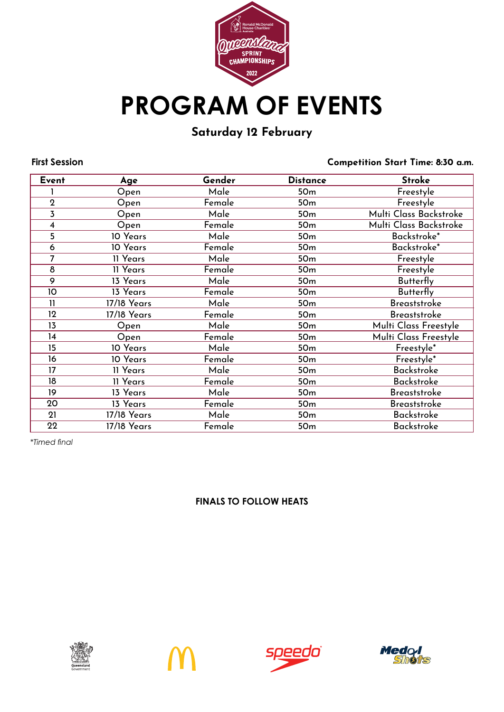

### Saturday 12 February

**First Session** Competition Start Time: 8:30 a.m.

| Event          | Age         | Gender | <b>Distance</b> | <b>Stroke</b>          |
|----------------|-------------|--------|-----------------|------------------------|
|                | Open        | Male   | 50 <sub>m</sub> | Freestyle              |
| $\overline{2}$ | Open        | Female | 50 <sub>m</sub> | Freestyle              |
| 3              | Open        | Male   | 50 <sub>m</sub> | Multi Class Backstroke |
| 4              | Open        | Female | 50 <sub>m</sub> | Multi Class Backstroke |
| 5              | 10 Years    | Male   | 50 <sub>m</sub> | Backstroke*            |
| 6              | 10 Years    | Female | 50 <sub>m</sub> | Backstroke*            |
| $\overline{7}$ | 11 Years    | Male   | 50 <sub>m</sub> | Freestyle              |
| 8              | 11 Years    | Female | 50 <sub>m</sub> | Freestyle              |
| 9              | 13 Years    | Male   | 50 <sub>m</sub> | <b>Butterfly</b>       |
| 10             | 13 Years    | Female | 50 <sub>m</sub> | <b>Butterfly</b>       |
| $\mathbf{11}$  | 17/18 Years | Male   | 50 <sub>m</sub> | <b>Breaststroke</b>    |
| 12             | 17/18 Years | Female | 50 <sub>m</sub> | <b>Breaststroke</b>    |
| 13             | Open        | Male   | 50 <sub>m</sub> | Multi Class Freestyle  |
| 14             | Open        | Female | 50 <sub>m</sub> | Multi Class Freestyle  |
| 15             | 10 Years    | Male   | 50 <sub>m</sub> | Freestyle*             |
| 16             | 10 Years    | Female | 50 <sub>m</sub> | Freestyle*             |
| 17             | 11 Years    | Male   | 50 <sub>m</sub> | <b>Backstroke</b>      |
| 18             | 11 Years    | Female | 50 <sub>m</sub> | <b>Backstroke</b>      |
| 19             | 13 Years    | Male   | 50 <sub>m</sub> | <b>Breaststroke</b>    |
| 20             | 13 Years    | Female | 50 <sub>m</sub> | <b>Breaststroke</b>    |
| 21             | 17/18 Years | Male   | 50 <sub>m</sub> | <b>Backstroke</b>      |
| 22             | 17/18 Years | Female | 50 <sub>m</sub> | <b>Backstroke</b>      |

*\*Timed final*







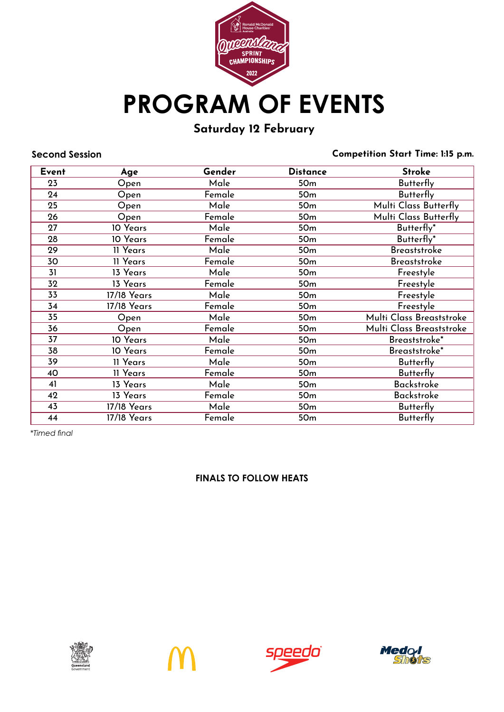

# Saturday 12 February

**Second Session** Competition Start Time: 1:15 p.m.

| Event | Age         | Gender | <b>Distance</b> | <b>Stroke</b>            |
|-------|-------------|--------|-----------------|--------------------------|
| 23    | Open        | Male   | 50 <sub>m</sub> | <b>Butterfly</b>         |
| 24    | Open        | Female | 50 <sub>m</sub> | <b>Butterfly</b>         |
| 25    | Open        | Male   | 50 <sub>m</sub> | Multi Class Butterfly    |
| 26    | Open        | Female | 50 <sub>m</sub> | Multi Class Butterfly    |
| 27    | 10 Years    | Male   | 50 <sub>m</sub> | Butterfly*               |
| 28    | 10 Years    | Female | 50 <sub>m</sub> | Butterfly*               |
| 29    | 11 Years    | Male   | 50 <sub>m</sub> | <b>Breaststroke</b>      |
| 30    | 11 Years    | Female | 50 <sub>m</sub> | <b>Breaststroke</b>      |
| 31    | 13 Years    | Male   | 50 <sub>m</sub> | Freestyle                |
| 32    | 13 Years    | Female | 50 <sub>m</sub> | Freestyle                |
| 33    | 17/18 Years | Male   | 50 <sub>m</sub> | Freestyle                |
| 34    | 17/18 Years | Female | 50 <sub>m</sub> | Freestyle                |
| 35    | Open        | Male   | 50 <sub>m</sub> | Multi Class Breaststroke |
| 36    | Open        | Female | 50 <sub>m</sub> | Multi Class Breaststroke |
| 37    | 10 Years    | Male   | 50 <sub>m</sub> | Breaststroke*            |
| 38    | 10 Years    | Female | 50 <sub>m</sub> | Breaststroke*            |
| 39    | 11 Years    | Male   | 50 <sub>m</sub> | <b>Butterfly</b>         |
| 40    | 11 Years    | Female | 50 <sub>m</sub> | <b>Butterfly</b>         |
| 41    | 13 Years    | Male   | 50 <sub>m</sub> | <b>Backstroke</b>        |
| 42    | 13 Years    | Female | 50 <sub>m</sub> | <b>Backstroke</b>        |
| 43    | 17/18 Years | Male   | 50 <sub>m</sub> | <b>Butterfly</b>         |
| 44    | 17/18 Years | Female | 50 <sub>m</sub> | <b>Butterfly</b>         |

*\*Timed final*







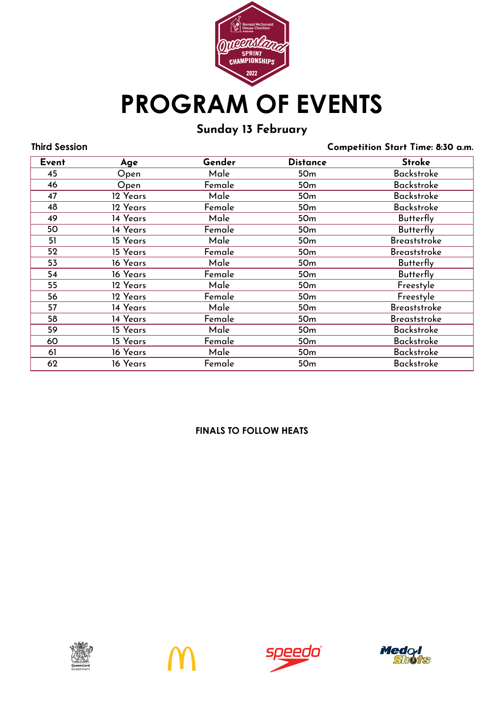

# Sunday 13 February

**Third Session** Competition Start Time: 8:30 a.m.

| Event | Age      | Gender | <b>Distance</b> | <b>Stroke</b>       |  |
|-------|----------|--------|-----------------|---------------------|--|
| 45    | Open     | Male   | 50 <sub>m</sub> | <b>Backstroke</b>   |  |
| 46    | Open     | Female | 50 <sub>m</sub> | <b>Backstroke</b>   |  |
| 47    | 12 Years | Male   | 50 <sub>m</sub> | <b>Backstroke</b>   |  |
| 48    | 12 Years | Female | 50 <sub>m</sub> | <b>Backstroke</b>   |  |
| 49    | 14 Years | Male   | 50 <sub>m</sub> | <b>Butterfly</b>    |  |
| 50    | 14 Years | Female | 50 <sub>m</sub> | <b>Butterfly</b>    |  |
| 51    | 15 Years | Male   | 50 <sub>m</sub> | <b>Breaststroke</b> |  |
| 52    | 15 Years | Female | 50 <sub>m</sub> | <b>Breaststroke</b> |  |
| 53    | 16 Years | Male   | 50 <sub>m</sub> | <b>Butterfly</b>    |  |
| 54    | 16 Years | Female | 50 <sub>m</sub> | <b>Butterfly</b>    |  |
| 55    | 12 Years | Male   | 50 <sub>m</sub> | Freestyle           |  |
| 56    | 12 Years | Female | 50 <sub>m</sub> | Freestyle           |  |
| 57    | 14 Years | Male   | 50 <sub>m</sub> | <b>Breaststroke</b> |  |
| 58    | 14 Years | Female | 50 <sub>m</sub> | <b>Breaststroke</b> |  |
| 59    | 15 Years | Male   | 50 <sub>m</sub> | <b>Backstroke</b>   |  |
| 60    | 15 Years | Female | 50 <sub>m</sub> | <b>Backstroke</b>   |  |
| 61    | 16 Years | Male   | 50 <sub>m</sub> | <b>Backstroke</b>   |  |
| 62    | 16 Years | Female | 50 <sub>m</sub> | <b>Backstroke</b>   |  |